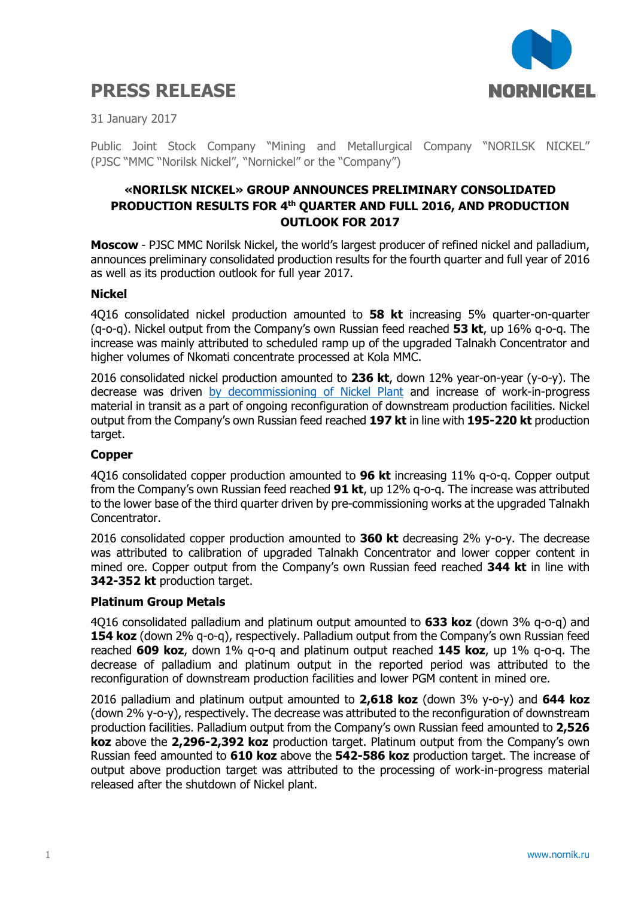# **PRESS RELEASE**



31 January 2017

Public Joint Stock Company "Mining and Metallurgical Company "NORILSK NICKEL" (PJSC "MMC "Norilsk Nickel", "Nornickel" or the "Company")

# **«NORILSK NICKEL» GROUP ANNOUNCES PRELIMINARY CONSOLIDATED PRODUCTION RESULTS FOR 4 th QUARTER AND FULL 2016, AND PRODUCTION OUTLOOK FOR 2017**

**Moscow** - PJSC MMC Norilsk Nickel, the world's largest producer of refined nickel and palladium, announces preliminary consolidated production results for the fourth quarter and full year of 2016 as well as its production outlook for full year 2017.

#### **Nickel**

4Q16 consolidated nickel production amounted to **58 kt** increasing 5% quarter-on-quarter (q-o-q). Nickel output from the Company's own Russian feed reached **53 kt**, up 16% q-o-q. The increase was mainly attributed to scheduled ramp up of the upgraded Talnakh Concentrator and higher volumes of Nkomati concentrate processed at Kola MMC.

2016 consolidated nickel production amounted to **236 kt**, down 12% year-on-year (y-o-y). The decrease was driven [by decommissioning of Nickel Plant](http://www.nornik.ru/en/newsroom/news-and-press-releases/press-releases/major-milestone-in-downstream-reconfiguration-reached-nickel-plant-in-norilsk-is-shut-down-ahead-of-schedule) and increase of work-in-progress material in transit as a part of ongoing reconfiguration of downstream production facilities. Nickel output from the Company's own Russian feed reached **197 kt** in line with **195-220 kt** production target.

## **Copper**

4Q16 consolidated copper production amounted to **96 kt** increasing 11% q-o-q. Copper output from the Company's own Russian feed reached **91 kt**, up 12% q-o-q. The increase was attributed to the lower base of the third quarter driven by pre-commissioning works at the upgraded Talnakh Concentrator.

2016 consolidated copper production amounted to **360 kt** decreasing 2% y-o-y. The decrease was attributed to calibration of upgraded Talnakh Concentrator and lower copper content in mined ore. Copper output from the Company's own Russian feed reached **344 kt** in line with **342-352 kt** production target.

## **Platinum Group Metals**

4Q16 consolidated palladium and platinum output amounted to **633 koz** (down 3% q-o-q) and **154 koz** (down 2% q-o-q), respectively. Palladium output from the Company's own Russian feed reached **609 koz**, down 1% q-o-q and platinum output reached **145 koz**, up 1% q-o-q. The decrease of palladium and platinum output in the reported period was attributed to the reconfiguration of downstream production facilities and lower PGM content in mined ore.

2016 palladium and platinum output amounted to **2,618 koz** (down 3% y-o-y) and **644 koz** (down 2% y-o-y), respectively. The decrease was attributed to the reconfiguration of downstream production facilities. Palladium output from the Company's own Russian feed amounted to **2,526 koz** above the **2,296-2,392 koz** production target. Platinum output from the Company's own Russian feed amounted to **610 koz** above the **542-586 koz** production target. The increase of output above production target was attributed to the processing of work-in-progress material released after the shutdown of Nickel plant.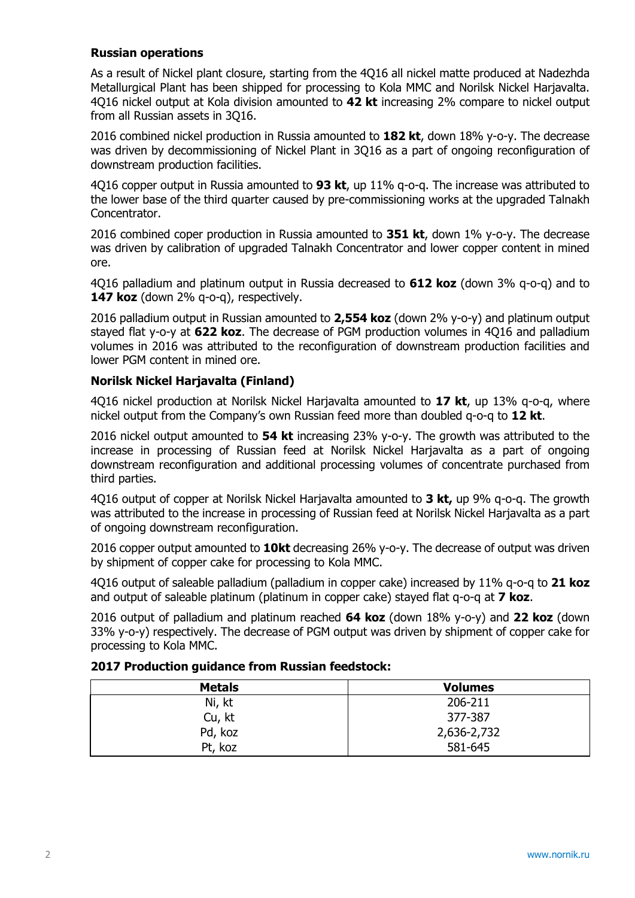#### **Russian operations**

As a result of Nickel plant closure, starting from the 4Q16 all nickel matte produced at Nadezhda Metallurgical Plant has been shipped for processing to Kola MMC and Norilsk Nickel Harjavalta. 4Q16 nickel output at Kola division amounted to **42 kt** increasing 2% compare to nickel output from all Russian assets in 3Q16.

2016 combined nickel production in Russia amounted to **182 kt**, down 18% y-o-y. The decrease was driven [by decommissioning of Nickel Plant](http://www.nornik.ru/en/newsroom/news-and-press-releases/news/production-shutdown-at-nickel-plant) in 3Q16 as a part of ongoing reconfiguration of downstream production facilities.

4Q16 copper output in Russia amounted to **93 kt**, up 11% q-o-q. The increase was attributed to the lower base of the third quarter caused by pre-commissioning works at the upgraded Talnakh Concentrator.

2016 combined coper production in Russia amounted to **351 kt**, down 1% y-o-y. The decrease was driven by calibration of upgraded Talnakh Concentrator and lower copper content in mined ore.

4Q16 palladium and platinum output in Russia decreased to **612 koz** (down 3% q-o-q) and to 147 koz (down 2% q-o-q), respectively.

2016 palladium output in Russian amounted to **2,554 koz** (down 2% y-o-y) and platinum output stayed flat y-o-y at **622 koz**. The decrease of PGM production volumes in 4Q16 and palladium volumes in 2016 was attributed to the reconfiguration of downstream production facilities and lower PGM content in mined ore.

## **Norilsk Nickel Harjavalta (Finland)**

4Q16 nickel production at Norilsk Nickel Harjavalta amounted to **17 kt**, up 13% q-o-q, where nickel output from the Company's own Russian feed more than doubled q-o-q to **12 kt**.

2016 nickel output amounted to **54 kt** increasing 23% y-o-y. The growth was attributed to the increase in processing of Russian feed at Norilsk Nickel Hariavalta as a part of ongoing downstream reconfiguration and additional processing volumes of concentrate purchased from third parties.

4Q16 output of copper at Norilsk Nickel Harjavalta amounted to **3 kt,** up 9% q-o-q. The growth was attributed to the increase in processing of Russian feed at Norilsk Nickel Harjavalta as a part of ongoing downstream reconfiguration.

2016 copper output amounted to **10kt** decreasing 26% y-o-y. The decrease of output was driven by shipment of copper cake for processing to Kola MMC.

4Q16 output of saleable palladium (palladium in copper cake) increased by 11% q-o-q to **21 koz** and output of saleable platinum (platinum in copper cake) stayed flat q-o-q at **7 koz**.

2016 output of palladium and platinum reached **64 koz** (down 18% y-o-y) and **22 koz** (down 33% y-o-y) respectively. The decrease of PGM output was driven by shipment of copper cake for processing to Kola MMC.

| <b>Metals</b> | <b>Volumes</b> |  |  |  |
|---------------|----------------|--|--|--|
| Ni, kt        | 206-211        |  |  |  |
| Cu, kt        | 377-387        |  |  |  |
| Pd, koz       | 2,636-2,732    |  |  |  |
| Pt, koz       | 581-645        |  |  |  |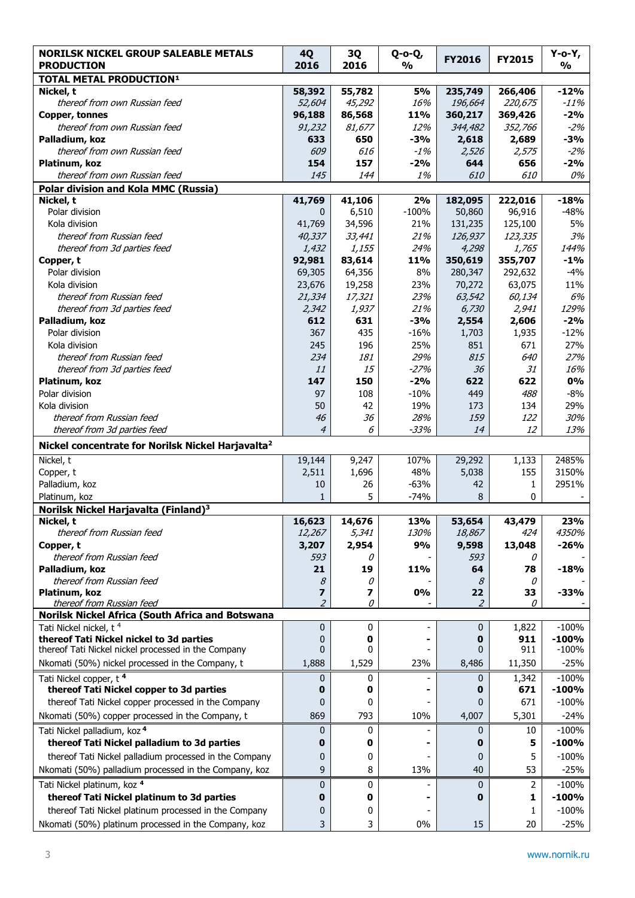| <b>NORILSK NICKEL GROUP SALEABLE METALS</b><br><b>PRODUCTION</b> | <b>4Q</b><br>2016   | 3Q<br>2016 | Q-o-Q,<br>$\frac{1}{2}$ | <b>FY2016</b> | <b>FY2015</b> | Y-o-Y,<br>$\frac{1}{2}$ |  |  |
|------------------------------------------------------------------|---------------------|------------|-------------------------|---------------|---------------|-------------------------|--|--|
| <b>TOTAL METAL PRODUCTION<sup>1</sup></b>                        |                     |            |                         |               |               |                         |  |  |
| Nickel, t                                                        | 58,392              | 55,782     | <b>5%</b>               | 235,749       | 266,406       | $-12%$                  |  |  |
| thereof from own Russian feed                                    | 52,604              | 45,292     | 16%                     | 196,664       | 220,675       | $-11%$                  |  |  |
| Copper, tonnes                                                   | 96,188              | 86,568     | 11%                     | 360,217       | 369,426       | $-2%$                   |  |  |
| thereof from own Russian feed                                    | 91,232              | 81,677     | 12%                     | 344,482       | 352,766       | $-2%$                   |  |  |
| Palladium, koz                                                   | 633                 | 650        | $-3%$                   | 2,618         | 2,689         | $-3%$                   |  |  |
| thereof from own Russian feed                                    | 609                 | 616        | $-1%$                   | 2,526<br>644  | 2,575         | $-2%$<br>$-2%$          |  |  |
| Platinum, koz<br>thereof from own Russian feed                   | 154<br>145          | 157<br>144 | $-2%$<br>1%             | 610           | 656<br>610    | 0%                      |  |  |
| <b>Polar division and Kola MMC (Russia)</b>                      |                     |            |                         |               |               |                         |  |  |
| Nickel, t                                                        | 41,769              | 41,106     | 2%                      | 182,095       | 222,016       | $-18%$                  |  |  |
| Polar division                                                   | 0                   | 6,510      | $-100%$                 | 50,860        | 96,916        | $-48%$                  |  |  |
| Kola division                                                    | 41,769              | 34,596     | 21%                     | 131,235       | 125,100       | 5%                      |  |  |
| thereof from Russian feed                                        | 40,337              | 33,441     | 21%                     | 126,937       | 123,335       | 3%                      |  |  |
| thereof from 3d parties feed                                     | 1,432               | 1,155      | 24%                     | 4,298         | 1,765         | 144%                    |  |  |
| Copper, t                                                        | 92,981              | 83,614     | 11%                     | 350,619       | 355,707       | $-1%$                   |  |  |
| Polar division                                                   | 69,305              | 64,356     | 8%                      | 280,347       | 292,632       | $-4%$                   |  |  |
| Kola division                                                    | 23,676              | 19,258     | 23%                     | 70,272        | 63,075        | 11%                     |  |  |
| thereof from Russian feed                                        | 21,334              | 17,321     | 23%                     | 63,542        | 60,134        | 6%                      |  |  |
| thereof from 3d parties feed                                     | 2,342               | 1,937      | 21%                     | 6,730         | 2,941         | 129%                    |  |  |
| Palladium, koz                                                   | 612                 | 631        | $-3%$                   | 2,554         | 2,606         | $-2%$                   |  |  |
| Polar division                                                   | 367                 | 435        | $-16%$                  | 1,703         | 1,935         | $-12%$                  |  |  |
| Kola division                                                    | 245                 | 196        | 25%                     | 851           | 671           | 27%                     |  |  |
| thereof from Russian feed                                        | 234                 | 181        | 29%                     | 815           | 640           | 27%                     |  |  |
| thereof from 3d parties feed                                     | 11                  | 15         | $-27%$                  | 36            | 31            | 16%                     |  |  |
| Platinum, koz                                                    | 147                 | 150        | $-2%$                   | 622           | 622           | 0%                      |  |  |
| Polar division                                                   | 97                  | 108        | $-10%$                  | 449           | 488           | $-8%$                   |  |  |
| Kola division                                                    | 50                  | 42         | 19%                     | 173           | 134           | 29%                     |  |  |
| thereof from Russian feed                                        | 46                  | 36         | 28%                     | 159           | 122           | 30%                     |  |  |
| thereof from 3d parties feed                                     | 4                   | 6          | $-33%$                  | 14            | 12            | 13%                     |  |  |
| Nickel concentrate for Norilsk Nickel Harjavalta <sup>2</sup>    |                     |            |                         |               |               |                         |  |  |
| Nickel, t                                                        | 19,144              | 9,247      | 107%                    | 29,292        | 1,133         | 2485%                   |  |  |
| Copper, t                                                        | 2,511               | 1,696      | 48%                     | 5,038         | 155           | 3150%                   |  |  |
| Palladium, koz                                                   | 10                  | 26         | $-63%$                  | 42            | 1             | 2951%                   |  |  |
| Platinum, koz                                                    | $\mathbf{1}$        | 5          | $-74%$                  | 8             | 0             |                         |  |  |
| Norilsk Nickel Harjavalta (Finland) <sup>3</sup>                 |                     |            |                         |               |               |                         |  |  |
| Nickel, t                                                        | 16,623              | 14,676     | 13%                     | 53,654        | 43,479        | 23%                     |  |  |
| thereof from Russian feed                                        | 12,267              | 5,341      | 130%                    | 18,867        | 424           | 4350%                   |  |  |
| Copper, t                                                        | 3,207               | 2,954      | 9%                      | 9,598         | 13,048        | $-26%$                  |  |  |
| thereof from Russian feed                                        | 593                 | 0          |                         | 593           | 0             |                         |  |  |
| Palladium, koz                                                   | 21                  | 19         | 11%                     | 64            | 78            | $-18%$                  |  |  |
| thereof from Russian feed<br>Platinum, koz                       | 8<br>$\overline{ }$ | 0<br>7     | 0%                      | 8<br>22       | 0<br>33       | $-33%$                  |  |  |
| thereof from Russian feed                                        | $\overline{2}$      | 0          |                         | 2             | 0             |                         |  |  |
| Norilsk Nickel Africa (South Africa and Botswana                 |                     |            |                         |               |               |                         |  |  |
| Tati Nickel nickel, t <sup>4</sup>                               | 0                   | 0          |                         | 0             | 1,822         | $-100%$                 |  |  |
| thereof Tati Nickel nickel to 3d parties                         | 0                   | 0          |                         | 0             | 911           | $-100%$                 |  |  |
| thereof Tati Nickel nickel processed in the Company              | 0                   | 0          |                         | 0             | 911           | $-100%$                 |  |  |
| Nkomati (50%) nickel processed in the Company, t                 | 1,888               | 1,529      | 23%                     | 8,486         | 11,350        | $-25%$                  |  |  |
| Tati Nickel copper, t <sup>4</sup>                               | 0                   | 0          |                         | 0             | 1,342         | $-100%$                 |  |  |
| thereof Tati Nickel copper to 3d parties                         | 0                   | 0          |                         | 0             | 671           | $-100%$                 |  |  |
| thereof Tati Nickel copper processed in the Company              | 0                   | 0          |                         | 0             | 671           | $-100%$                 |  |  |
| Nkomati (50%) copper processed in the Company, t                 | 869                 | 793        | 10%                     | 4,007         | 5,301         | $-24%$                  |  |  |
| Tati Nickel palladium, koz 4                                     | 0                   | 0          |                         | 0             | 10            | $-100%$                 |  |  |
| thereof Tati Nickel palladium to 3d parties                      | 0                   | 0          |                         | 0             | 5             | $-100%$                 |  |  |
| thereof Tati Nickel palladium processed in the Company           | 0                   | 0          |                         | 0             | 5             | $-100%$                 |  |  |
| Nkomati (50%) palladium processed in the Company, koz            | 9                   | 8          | 13%                     | 40            | 53            | $-25%$                  |  |  |
|                                                                  |                     |            |                         |               |               |                         |  |  |
| Tati Nickel platinum, koz 4                                      | 0                   | 0          |                         | 0             | 2             | $-100%$                 |  |  |
| thereof Tati Nickel platinum to 3d parties                       | 0                   | 0          |                         | 0             | 1             | $-100%$                 |  |  |
| thereof Tati Nickel platinum processed in the Company            | 0                   | 0          |                         |               | 1             | $-100%$                 |  |  |
| Nkomati (50%) platinum processed in the Company, koz             | 3                   | 3          | 0%                      | 15            | 20            | $-25%$                  |  |  |